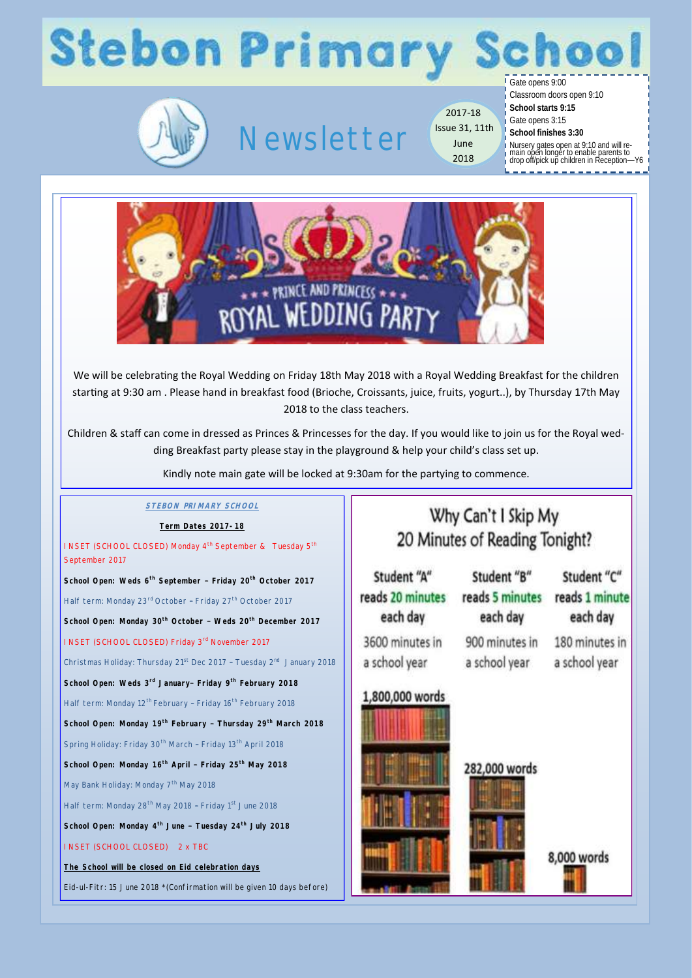### **Stebon Primary** Gate opens 9:00



## Newsletter

2017-18 Issue 31, 11th June 2018

Classroom doors open 9:10

**School starts 9:15**

Gate opens 3:15

**School finishes 3:30**

Nursery gates open at 9:10 and will re-main open longer to enable parents to drop off/pick up children in Reception—Y6



We will be celebrating the Royal Wedding on Friday 18th May 2018 with a Royal Wedding Breakfast for the children starting at 9:30 am . Please hand in breakfast food (Brioche, Croissants, juice, fruits, yogurt..), by Thursday 17th May 2018 to the class teachers.

Children & staff can come in dressed as Princes & Princesses for the day. If you would like to join us for the Royal wedding Breakfast party please stay in the playground & help your child's class set up.

Kindly note main gate will be locked at 9:30am for the partying to commence.

#### **STEBON PRIMARY SCHOOL** Why Can't I Skip My **Term Dates 2017-18** 20 Minutes of Reading Tonight? INSET (SCHOOL CLOSED) Monday 4<sup>th</sup> September & Tuesday 5<sup>th</sup> September 2017 Student "B" Student "C" Student "A" **School Open: Weds 6th September – Friday 20th October 2017** reads 5 minutes reads 20 minutes reads 1 minute Half term: Monday 23rd October - Friday 27<sup>th</sup> October 2017 each day each day each day **School Open: Monday 30th October – Weds 20th December 2017**  3600 minutes in 900 minutes in 180 minutes in INSET (SCHOOL CLOSED) Friday 3rd November 2017 a school year a school year a school year Christmas Holiday: Thursday 21<sup>st</sup> Dec 2017 - Tuesday 2<sup>nd</sup> January 2018 **School Open: Weds 3rd January– Friday 9th February 2018** 1.800,000 words Half term: Monday 12<sup>th</sup> February - Friday 16<sup>th</sup> February 2018 **School Open: Monday 19th February – Thursday 29th March 2018** Spring Holiday: Friday 30<sup>th</sup> March - Friday 13<sup>th</sup> April 2018 **School Open: Monday 16th April – Friday 25th May 2018** 282,000 words May Bank Holiday: Monday 7<sup>th</sup> May 2018 Half term: Monday 28<sup>th</sup> May 2018 - Friday 1<sup>st</sup> June 2018 **School Open: Monday 4th June – Tuesday 24th July 2018** INSET (SCHOOL CLOSED) 2 x TBC 8,000 words **The School will be closed on Eid celebration days** Eid-ul-Fitr: 15 June 2018 \*(Confirmation will be given 10 days before)